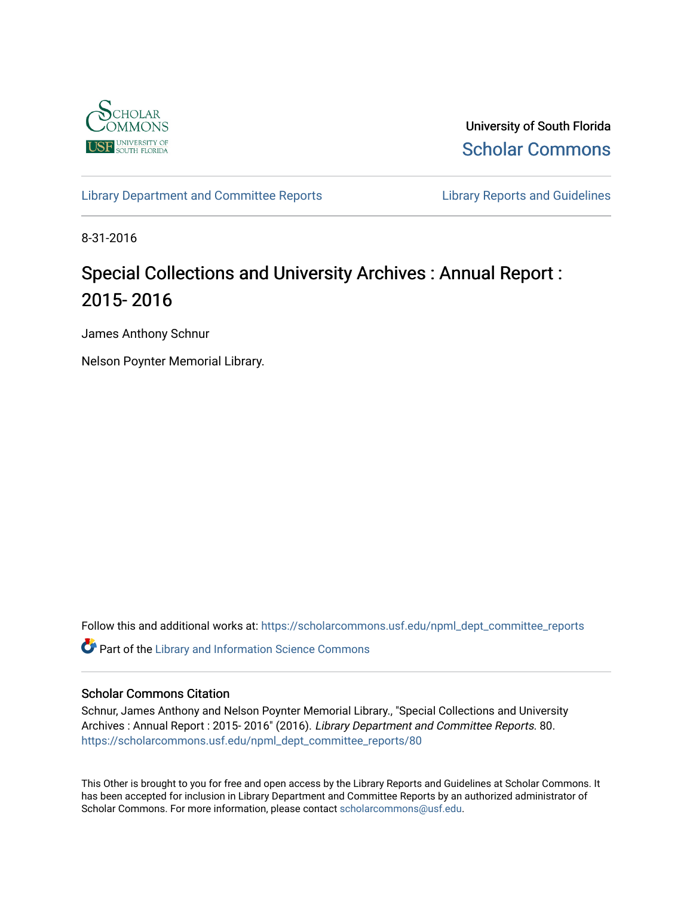

University of South Florida [Scholar Commons](https://scholarcommons.usf.edu/) 

[Library Department and Committee Reports](https://scholarcommons.usf.edu/npml_dept_committee_reports) **Library Reports and Guidelines** 

8-31-2016

# Special Collections and University Archives : Annual Report : 2015- 2016

James Anthony Schnur

Nelson Poynter Memorial Library.

Follow this and additional works at: [https://scholarcommons.usf.edu/npml\\_dept\\_committee\\_reports](https://scholarcommons.usf.edu/npml_dept_committee_reports?utm_source=scholarcommons.usf.edu%2Fnpml_dept_committee_reports%2F80&utm_medium=PDF&utm_campaign=PDFCoverPages)

Part of the [Library and Information Science Commons](http://network.bepress.com/hgg/discipline/1018?utm_source=scholarcommons.usf.edu%2Fnpml_dept_committee_reports%2F80&utm_medium=PDF&utm_campaign=PDFCoverPages) 

#### Scholar Commons Citation

Schnur, James Anthony and Nelson Poynter Memorial Library., "Special Collections and University Archives : Annual Report : 2015- 2016" (2016). Library Department and Committee Reports. 80. [https://scholarcommons.usf.edu/npml\\_dept\\_committee\\_reports/80](https://scholarcommons.usf.edu/npml_dept_committee_reports/80?utm_source=scholarcommons.usf.edu%2Fnpml_dept_committee_reports%2F80&utm_medium=PDF&utm_campaign=PDFCoverPages) 

This Other is brought to you for free and open access by the Library Reports and Guidelines at Scholar Commons. It has been accepted for inclusion in Library Department and Committee Reports by an authorized administrator of Scholar Commons. For more information, please contact [scholarcommons@usf.edu](mailto:scholarcommons@usf.edu).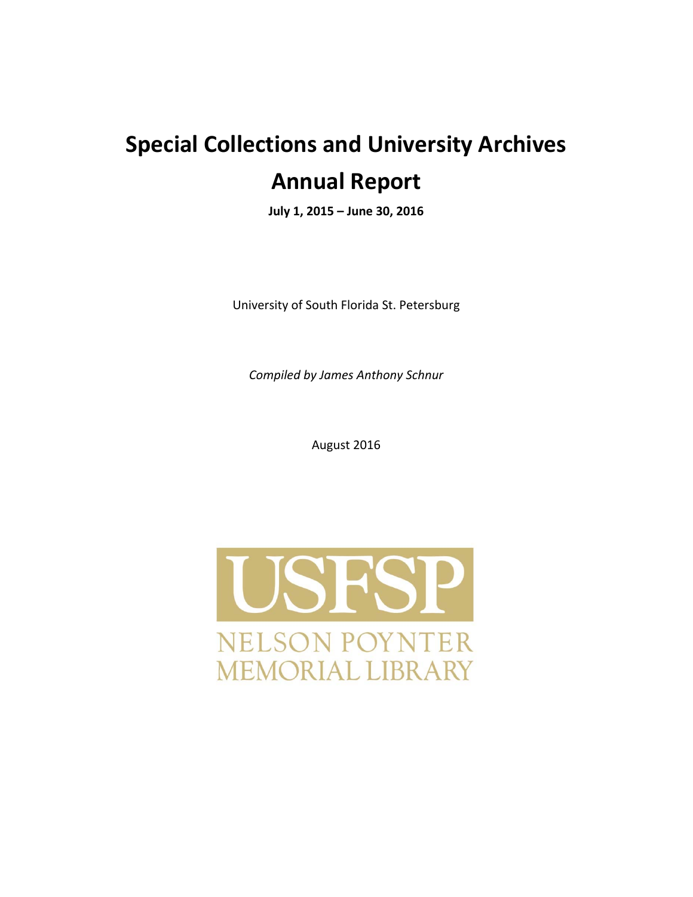# **Special Collections and University Archives Annual Report**

**July 1, 2015 – June 30, 2016**

University of South Florida St. Petersburg

*Compiled by James Anthony Schnur*

August 2016

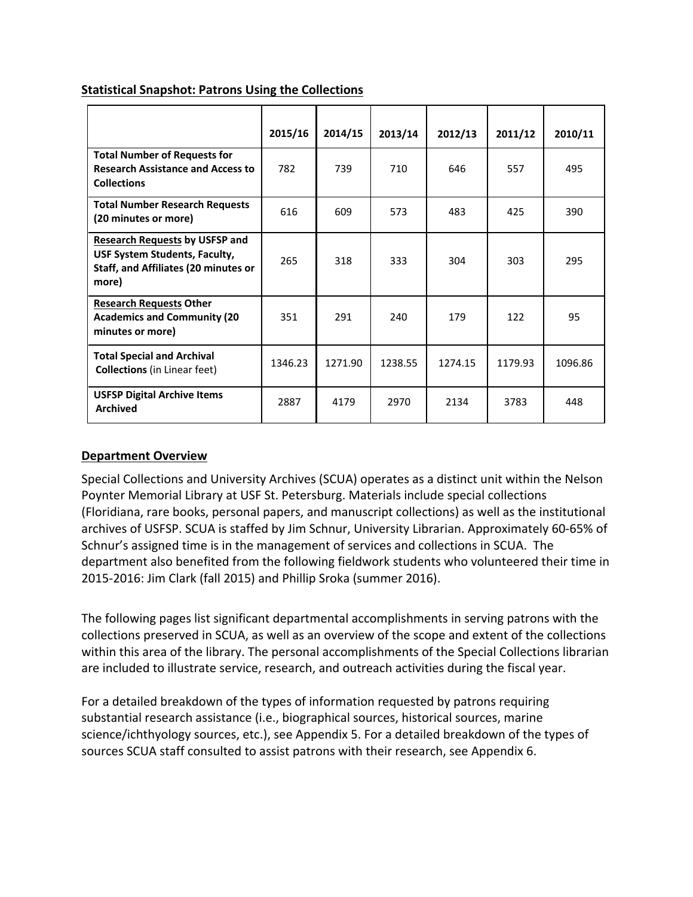|                                                                                                                                | 2015/16 | 2014/15 | 2013/14 | 2012/13 | 2011/12 | 2010/11 |
|--------------------------------------------------------------------------------------------------------------------------------|---------|---------|---------|---------|---------|---------|
| <b>Total Number of Requests for</b><br><b>Research Assistance and Access to</b><br><b>Collections</b>                          | 782     | 739     | 710     | 646     | 557     | 495     |
| <b>Total Number Research Requests</b><br>(20 minutes or more)                                                                  | 616     | 609     | 573     | 483     | 425     | 390     |
| <b>Research Requests by USFSP and</b><br>USF System Students, Faculty,<br><b>Staff, and Affiliates (20 minutes or</b><br>more) | 265     | 318     | 333     | 304     | 303     | 295     |
| <b>Research Requests Other</b><br><b>Academics and Community (20</b><br>minutes or more)                                       | 351     | 291     | 240     | 179     | 122     | 95      |
| <b>Total Special and Archival</b><br><b>Collections</b> (in Linear feet)                                                       | 1346.23 | 1271.90 | 1238.55 | 1274.15 | 1179.93 | 1096.86 |
| <b>USFSP Digital Archive Items</b><br><b>Archived</b>                                                                          | 2887    | 4179    | 2970    | 2134    | 3783    | 448     |

#### **Statistical Snapshot: Patrons Using the Collections**

#### **Department Overview**

Special Collections and University Archives (SCUA) operates as a distinct unit within the Nelson Poynter Memorial Library at USF St. Petersburg. Materials include special collections (Floridiana, rare books, personal papers, and manuscript collections) as well as the institutional archives of USFSP. SCUA is staffed by Jim Schnur, University Librarian. Approximately 60‐65% of Schnur's assigned time is in the management of services and collections in SCUA. The department also benefited from the following fieldwork students who volunteered their time in 2015‐2016: Jim Clark (fall 2015) and Phillip Sroka (summer 2016).

The following pages list significant departmental accomplishments in serving patrons with the collections preserved in SCUA, as well as an overview of the scope and extent of the collections within this area of the library. The personal accomplishments of the Special Collections librarian are included to illustrate service, research, and outreach activities during the fiscal year.

For a detailed breakdown of the types of information requested by patrons requiring substantial research assistance (i.e., biographical sources, historical sources, marine science/ichthyology sources, etc.), see Appendix 5. For a detailed breakdown of the types of sources SCUA staff consulted to assist patrons with their research, see Appendix 6.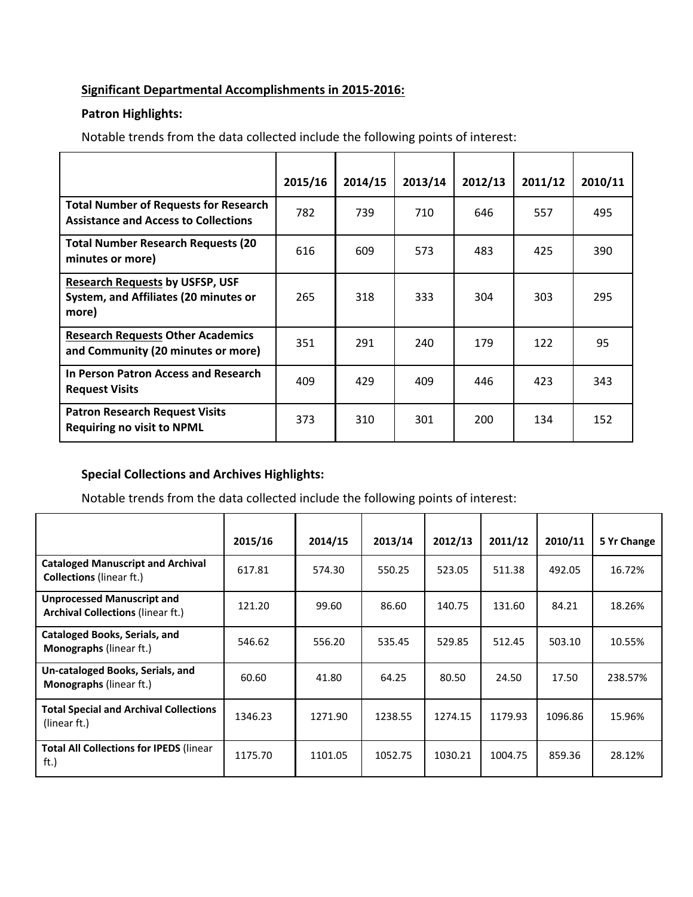#### **Significant Departmental Accomplishments in 2015‐2016:**

### **Patron Highlights:**

Notable trends from the data collected include the following points of interest:

|                                                                                             | 2015/16 | 2014/15 | 2013/14 | 2012/13 | 2011/12 | 2010/11 |
|---------------------------------------------------------------------------------------------|---------|---------|---------|---------|---------|---------|
| <b>Total Number of Requests for Research</b><br><b>Assistance and Access to Collections</b> | 782     | 739     | 710     | 646     | 557     | 495     |
| <b>Total Number Research Requests (20</b><br>minutes or more)                               | 616     | 609     | 573     | 483     | 425     | 390     |
| <b>Research Requests by USFSP, USF</b><br>System, and Affiliates (20 minutes or<br>more)    | 265     | 318     | 333     | 304     | 303     | 295     |
| <b>Research Requests Other Academics</b><br>and Community (20 minutes or more)              | 351     | 291     | 240     | 179     | 122     | 95      |
| In Person Patron Access and Research<br><b>Request Visits</b>                               | 409     | 429     | 409     | 446     | 423     | 343     |
| <b>Patron Research Request Visits</b><br><b>Requiring no visit to NPML</b>                  | 373     | 310     | 301     | 200     | 134     | 152     |

#### **Special Collections and Archives Highlights:**

Notable trends from the data collected include the following points of interest:

|                                                                               | 2015/16 | 2014/15 | 2013/14 | 2012/13 | 2011/12 | 2010/11 | 5 Yr Change |
|-------------------------------------------------------------------------------|---------|---------|---------|---------|---------|---------|-------------|
| <b>Cataloged Manuscript and Archival</b><br><b>Collections</b> (linear ft.)   | 617.81  | 574.30  | 550.25  | 523.05  | 511.38  | 492.05  | 16.72%      |
| <b>Unprocessed Manuscript and</b><br><b>Archival Collections (linear ft.)</b> | 121.20  | 99.60   | 86.60   | 140.75  | 131.60  | 84.21   | 18.26%      |
| Cataloged Books, Serials, and<br><b>Monographs</b> (linear ft.)               | 546.62  | 556.20  | 535.45  | 529.85  | 512.45  | 503.10  | 10.55%      |
| Un-cataloged Books, Serials, and<br><b>Monographs</b> (linear ft.)            | 60.60   | 41.80   | 64.25   | 80.50   | 24.50   | 17.50   | 238.57%     |
| <b>Total Special and Archival Collections</b><br>(linear ft.)                 | 1346.23 | 1271.90 | 1238.55 | 1274.15 | 1179.93 | 1096.86 | 15.96%      |
| <b>Total All Collections for IPEDS (linear</b><br>ft.)                        | 1175.70 | 1101.05 | 1052.75 | 1030.21 | 1004.75 | 859.36  | 28.12%      |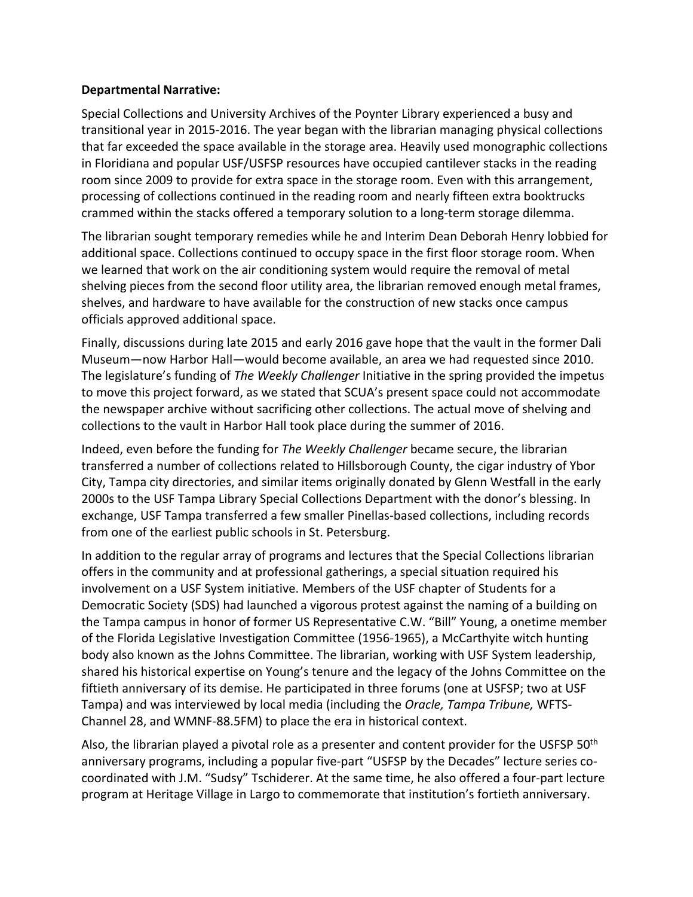#### **Departmental Narrative:**

Special Collections and University Archives of the Poynter Library experienced a busy and transitional year in 2015‐2016. The year began with the librarian managing physical collections that far exceeded the space available in the storage area. Heavily used monographic collections in Floridiana and popular USF/USFSP resources have occupied cantilever stacks in the reading room since 2009 to provide for extra space in the storage room. Even with this arrangement, processing of collections continued in the reading room and nearly fifteen extra booktrucks crammed within the stacks offered a temporary solution to a long‐term storage dilemma.

The librarian sought temporary remedies while he and Interim Dean Deborah Henry lobbied for additional space. Collections continued to occupy space in the first floor storage room. When we learned that work on the air conditioning system would require the removal of metal shelving pieces from the second floor utility area, the librarian removed enough metal frames, shelves, and hardware to have available for the construction of new stacks once campus officials approved additional space.

Finally, discussions during late 2015 and early 2016 gave hope that the vault in the former Dali Museum—now Harbor Hall—would become available, an area we had requested since 2010. The legislature's funding of *The Weekly Challenger* Initiative in the spring provided the impetus to move this project forward, as we stated that SCUA's present space could not accommodate the newspaper archive without sacrificing other collections. The actual move of shelving and collections to the vault in Harbor Hall took place during the summer of 2016.

Indeed, even before the funding for *The Weekly Challenger* became secure, the librarian transferred a number of collections related to Hillsborough County, the cigar industry of Ybor City, Tampa city directories, and similar items originally donated by Glenn Westfall in the early 2000s to the USF Tampa Library Special Collections Department with the donor's blessing. In exchange, USF Tampa transferred a few smaller Pinellas‐based collections, including records from one of the earliest public schools in St. Petersburg.

In addition to the regular array of programs and lectures that the Special Collections librarian offers in the community and at professional gatherings, a special situation required his involvement on a USF System initiative. Members of the USF chapter of Students for a Democratic Society (SDS) had launched a vigorous protest against the naming of a building on the Tampa campus in honor of former US Representative C.W. "Bill" Young, a onetime member of the Florida Legislative Investigation Committee (1956‐1965), a McCarthyite witch hunting body also known as the Johns Committee. The librarian, working with USF System leadership, shared his historical expertise on Young's tenure and the legacy of the Johns Committee on the fiftieth anniversary of its demise. He participated in three forums (one at USFSP; two at USF Tampa) and was interviewed by local media (including the *Oracle, Tampa Tribune,* WFTS‐ Channel 28, and WMNF‐88.5FM) to place the era in historical context.

Also, the librarian played a pivotal role as a presenter and content provider for the USFSP 50<sup>th</sup> anniversary programs, including a popular five-part "USFSP by the Decades" lecture series cocoordinated with J.M. "Sudsy" Tschiderer. At the same time, he also offered a four‐part lecture program at Heritage Village in Largo to commemorate that institution's fortieth anniversary.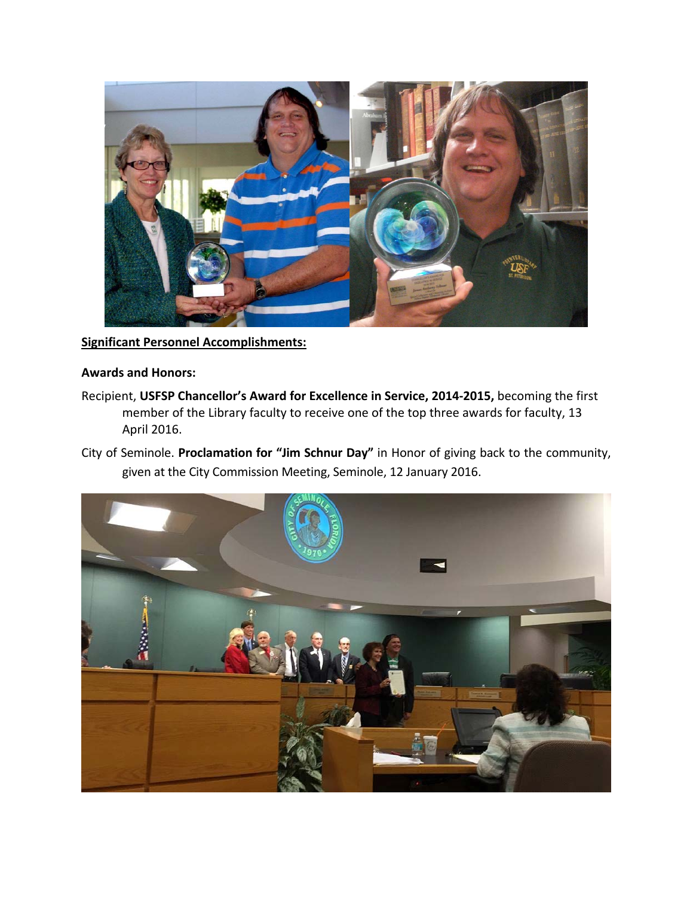

**Significant Personnel Accomplishments:**

#### **Awards and Honors:**

- Recipient, **USFSP Chancellor's Award for Excellence in Service, 2014‐2015,** becoming the first member of the Library faculty to receive one of the top three awards for faculty, 13 April 2016.
- City of Seminole. **Proclamation for "Jim Schnur Day"** in Honor of giving back to the community, given at the City Commission Meeting, Seminole, 12 January 2016.

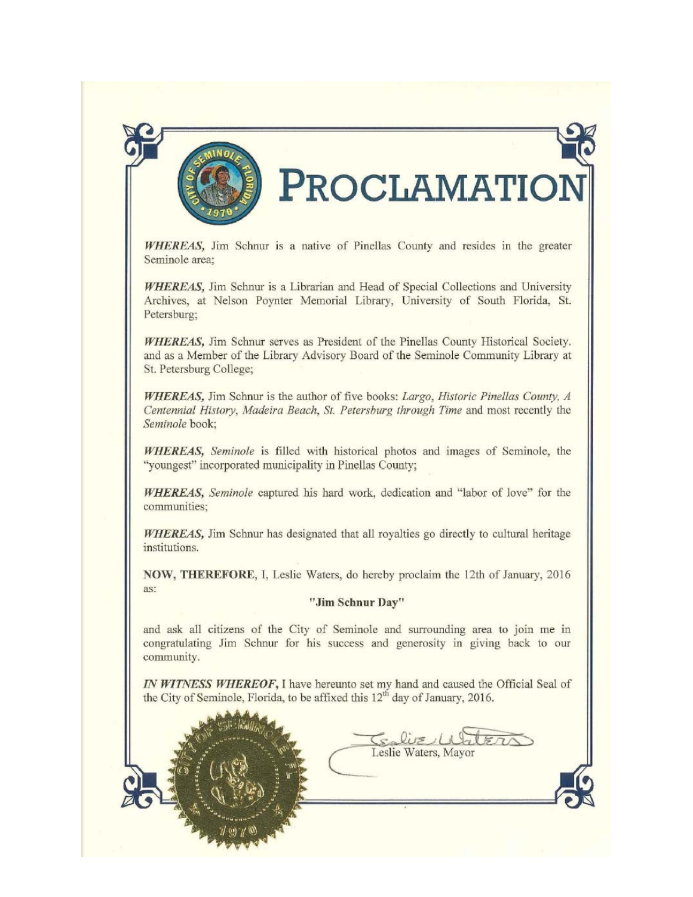

# **ROCLAMATIOI**

WHEREAS, Jim Schnur is a native of Pinellas County and resides in the greater Seminole area:

**WHEREAS**, Jim Schnur is a Librarian and Head of Special Collections and University Archives, at Nelson Poynter Memorial Library, University of South Florida, St. Petersburg;

WHEREAS, Jim Schnur serves as President of the Pinellas County Historical Society. and as a Member of the Library Advisory Board of the Seminole Community Library at St. Petersburg College;

WHEREAS, Jim Schnur is the author of five books: Largo, Historic Pinellas County, A Centennial History, Madeira Beach, St. Petersburg through Time and most recently the Seminole book;

WHEREAS, Seminole is filled with historical photos and images of Seminole, the "youngest" incorporated municipality in Pinellas County;

WHEREAS, Seminole captured his hard work, dedication and "labor of love" for the communities:

WHEREAS, Jim Schnur has designated that all royalties go directly to cultural heritage institutions.

NOW, THEREFORE, I, Leslie Waters, do hereby proclaim the 12th of January, 2016 as:

#### "Jim Schnur Day"

and ask all citizens of the City of Seminole and surrounding area to join me in congratulating Jim Schnur for his success and generosity in giving back to our community.

IN WITNESS WHEREOF, I have hereunto set my hand and caused the Official Seal of the City of Seminole, Florida, to be affixed this 12<sup>th</sup> day of January, 2016.

 $S<sub>0</sub>$ lit $\geq 1$ Leslie Waters, Mayor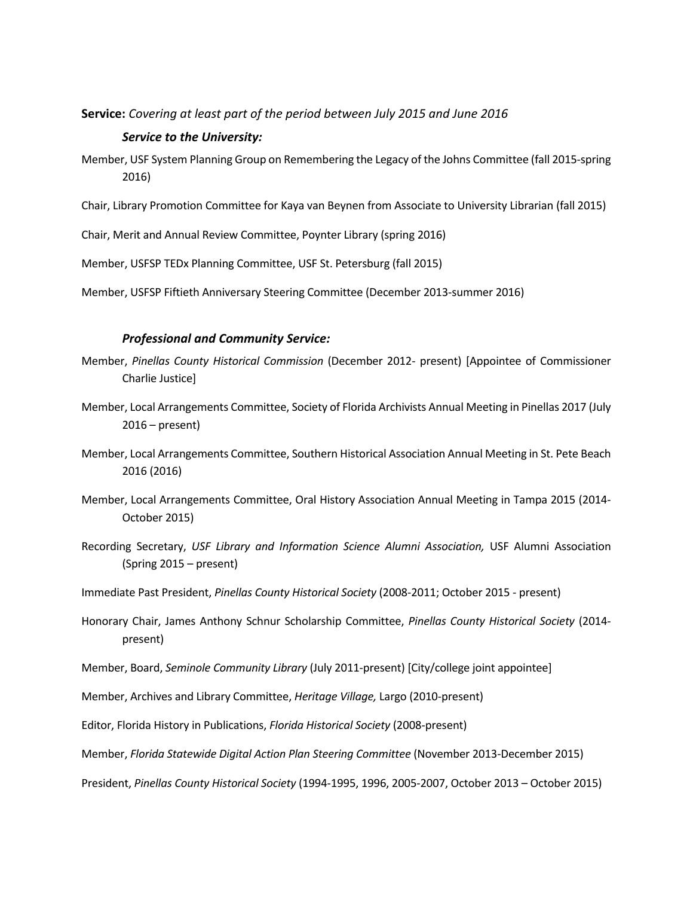#### **Service:** *Covering at least part of the period between July 2015 and June 2016*

#### *Service to the University:*

- Member, USF System Planning Group on Remembering the Legacy of the Johns Committee (fall 2015‐spring 2016)
- Chair, Library Promotion Committee for Kaya van Beynen from Associate to University Librarian (fall 2015)
- Chair, Merit and Annual Review Committee, Poynter Library (spring 2016)
- Member, USFSP TEDx Planning Committee, USF St. Petersburg (fall 2015)
- Member, USFSP Fiftieth Anniversary Steering Committee (December 2013‐summer 2016)

#### *Professional and Community Service:*

- Member, *Pinellas County Historical Commission* (December 2012‐ present) [Appointee of Commissioner Charlie Justice]
- Member, Local Arrangements Committee, Society of Florida Archivists Annual Meeting in Pinellas 2017 (July 2016 – present)
- Member, Local Arrangements Committee, Southern Historical Association Annual Meeting in St. Pete Beach 2016 (2016)
- Member, Local Arrangements Committee, Oral History Association Annual Meeting in Tampa 2015 (2014‐ October 2015)
- Recording Secretary, *USF Library and Information Science Alumni Association,* USF Alumni Association (Spring 2015 – present)
- Immediate Past President, *Pinellas County Historical Society* (2008‐2011; October 2015 ‐ present)
- Honorary Chair, James Anthony Schnur Scholarship Committee, *Pinellas County Historical Society* (2014‐ present)
- Member, Board, *Seminole Community Library* (July 2011‐present) [City/college joint appointee]
- Member, Archives and Library Committee, *Heritage Village,* Largo (2010‐present)
- Editor, Florida History in Publications, *Florida Historical Society* (2008‐present)
- Member, *Florida Statewide Digital Action Plan Steering Committee* (November 2013‐December 2015)
- President, *Pinellas County Historical Society* (1994‐1995, 1996, 2005‐2007, October 2013 October 2015)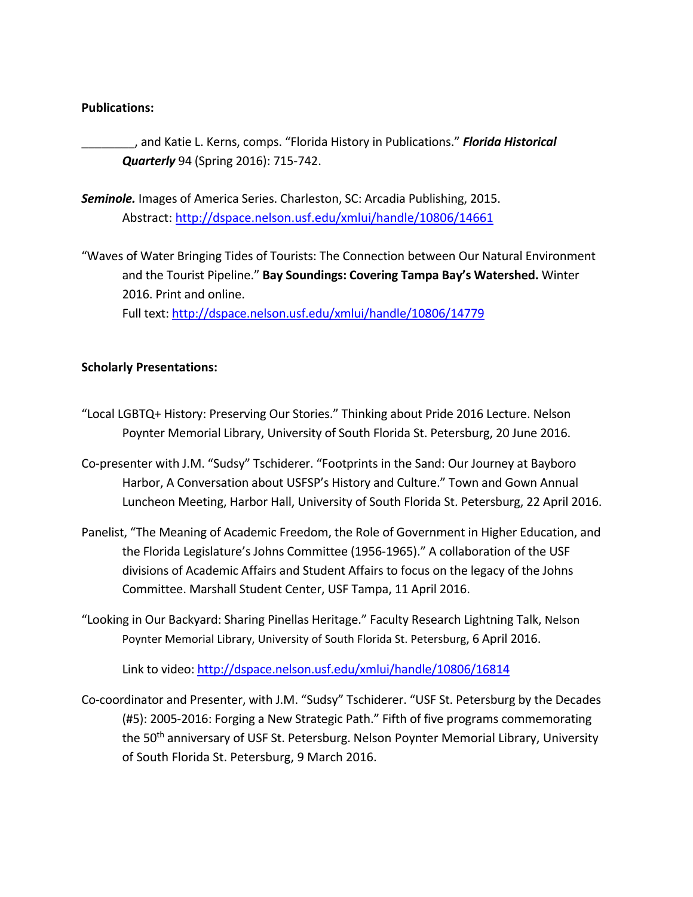#### **Publications:**

\_\_\_\_\_\_\_\_, and Katie L. Kerns, comps. "Florida History in Publications." *Florida Historical Quarterly* 94 (Spring 2016): 715‐742.

*Seminole.* Images of America Series. Charleston, SC: Arcadia Publishing, 2015. Abstract: http://dspace.nelson.usf.edu/xmlui/handle/10806/14661

"Waves of Water Bringing Tides of Tourists: The Connection between Our Natural Environment and the Tourist Pipeline." **Bay Soundings: Covering Tampa Bay's Watershed.** Winter 2016. Print and online. Full text: http://dspace.nelson.usf.edu/xmlui/handle/10806/14779

#### **Scholarly Presentations:**

- "Local LGBTQ+ History: Preserving Our Stories." Thinking about Pride 2016 Lecture. Nelson Poynter Memorial Library, University of South Florida St. Petersburg, 20 June 2016.
- Co‐presenter with J.M. "Sudsy" Tschiderer. "Footprints in the Sand: Our Journey at Bayboro Harbor, A Conversation about USFSP's History and Culture." Town and Gown Annual Luncheon Meeting, Harbor Hall, University of South Florida St. Petersburg, 22 April 2016.
- Panelist, "The Meaning of Academic Freedom, the Role of Government in Higher Education, and the Florida Legislature's Johns Committee (1956‐1965)." A collaboration of the USF divisions of Academic Affairs and Student Affairs to focus on the legacy of the Johns Committee. Marshall Student Center, USF Tampa, 11 April 2016.
- "Looking in Our Backyard: Sharing Pinellas Heritage." Faculty Research Lightning Talk, Nelson Poynter Memorial Library, University of South Florida St. Petersburg, 6 April 2016.

Link to video: http://dspace.nelson.usf.edu/xmlui/handle/10806/16814

Co‐coordinator and Presenter, with J.M. "Sudsy" Tschiderer. "USF St. Petersburg by the Decades (#5): 2005‐2016: Forging a New Strategic Path." Fifth of five programs commemorating the 50<sup>th</sup> anniversary of USF St. Petersburg. Nelson Poynter Memorial Library, University of South Florida St. Petersburg, 9 March 2016.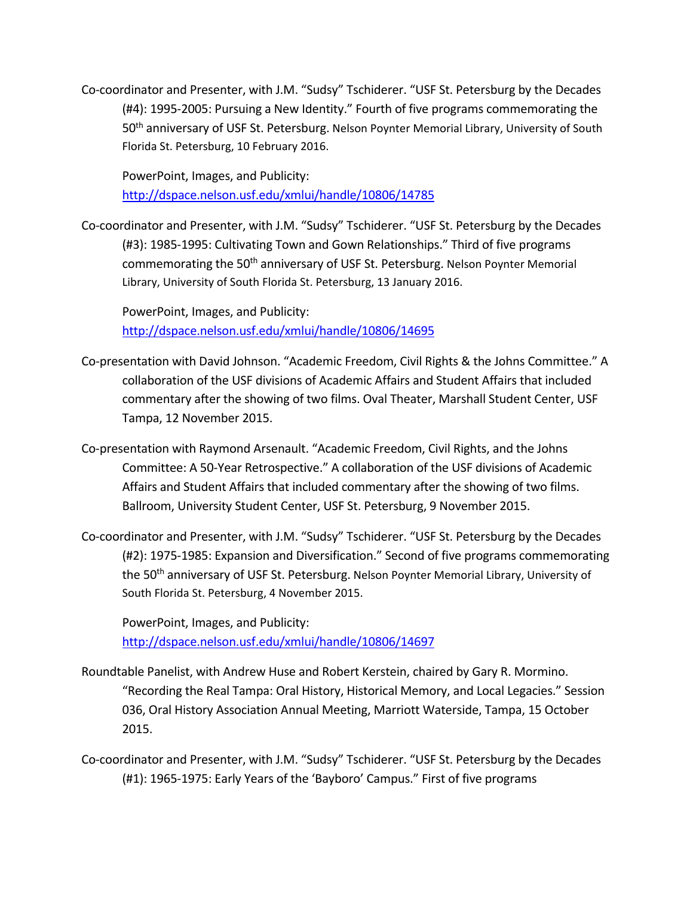Co‐coordinator and Presenter, with J.M. "Sudsy" Tschiderer. "USF St. Petersburg by the Decades (#4): 1995‐2005: Pursuing a New Identity." Fourth of five programs commemorating the 50th anniversary of USF St. Petersburg. Nelson Poynter Memorial Library, University of South Florida St. Petersburg, 10 February 2016.

PowerPoint, Images, and Publicity: http://dspace.nelson.usf.edu/xmlui/handle/10806/14785

Co‐coordinator and Presenter, with J.M. "Sudsy" Tschiderer. "USF St. Petersburg by the Decades (#3): 1985‐1995: Cultivating Town and Gown Relationships." Third of five programs commemorating the 50<sup>th</sup> anniversary of USF St. Petersburg. Nelson Poynter Memorial Library, University of South Florida St. Petersburg, 13 January 2016.

PowerPoint, Images, and Publicity: http://dspace.nelson.usf.edu/xmlui/handle/10806/14695

- Co‐presentation with David Johnson. "Academic Freedom, Civil Rights & the Johns Committee." A collaboration of the USF divisions of Academic Affairs and Student Affairs that included commentary after the showing of two films. Oval Theater, Marshall Student Center, USF Tampa, 12 November 2015.
- Co‐presentation with Raymond Arsenault. "Academic Freedom, Civil Rights, and the Johns Committee: A 50‐Year Retrospective." A collaboration of the USF divisions of Academic Affairs and Student Affairs that included commentary after the showing of two films. Ballroom, University Student Center, USF St. Petersburg, 9 November 2015.
- Co‐coordinator and Presenter, with J.M. "Sudsy" Tschiderer. "USF St. Petersburg by the Decades (#2): 1975‐1985: Expansion and Diversification." Second of five programs commemorating the 50<sup>th</sup> anniversary of USF St. Petersburg. Nelson Poynter Memorial Library, University of South Florida St. Petersburg, 4 November 2015.

PowerPoint, Images, and Publicity: http://dspace.nelson.usf.edu/xmlui/handle/10806/14697

- Roundtable Panelist, with Andrew Huse and Robert Kerstein, chaired by Gary R. Mormino. "Recording the Real Tampa: Oral History, Historical Memory, and Local Legacies." Session 036, Oral History Association Annual Meeting, Marriott Waterside, Tampa, 15 October 2015.
- Co‐coordinator and Presenter, with J.M. "Sudsy" Tschiderer. "USF St. Petersburg by the Decades (#1): 1965‐1975: Early Years of the 'Bayboro' Campus." First of five programs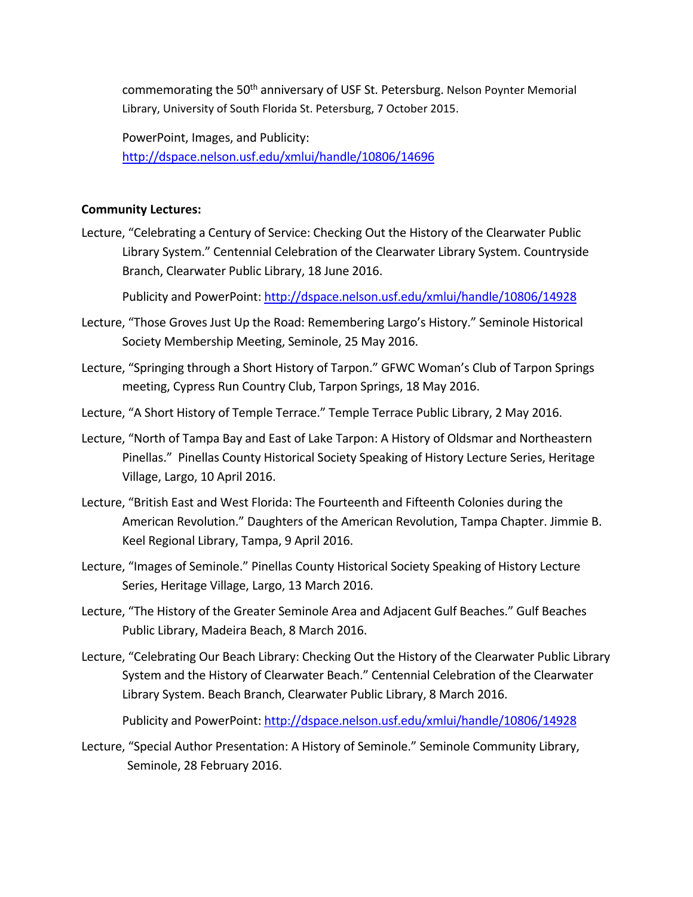commemorating the 50<sup>th</sup> anniversary of USF St. Petersburg. Nelson Poynter Memorial Library, University of South Florida St. Petersburg, 7 October 2015.

PowerPoint, Images, and Publicity: http://dspace.nelson.usf.edu/xmlui/handle/10806/14696

#### **Community Lectures:**

Lecture, "Celebrating a Century of Service: Checking Out the History of the Clearwater Public Library System." Centennial Celebration of the Clearwater Library System. Countryside Branch, Clearwater Public Library, 18 June 2016.

Publicity and PowerPoint: http://dspace.nelson.usf.edu/xmlui/handle/10806/14928

- Lecture, "Those Groves Just Up the Road: Remembering Largo's History." Seminole Historical Society Membership Meeting, Seminole, 25 May 2016.
- Lecture, "Springing through a Short History of Tarpon." GFWC Woman's Club of Tarpon Springs meeting, Cypress Run Country Club, Tarpon Springs, 18 May 2016.
- Lecture, "A Short History of Temple Terrace." Temple Terrace Public Library, 2 May 2016.
- Lecture, "North of Tampa Bay and East of Lake Tarpon: A History of Oldsmar and Northeastern Pinellas." Pinellas County Historical Society Speaking of History Lecture Series, Heritage Village, Largo, 10 April 2016.
- Lecture, "British East and West Florida: The Fourteenth and Fifteenth Colonies during the American Revolution." Daughters of the American Revolution, Tampa Chapter. Jimmie B. Keel Regional Library, Tampa, 9 April 2016.
- Lecture, "Images of Seminole." Pinellas County Historical Society Speaking of History Lecture Series, Heritage Village, Largo, 13 March 2016.
- Lecture, "The History of the Greater Seminole Area and Adjacent Gulf Beaches." Gulf Beaches Public Library, Madeira Beach, 8 March 2016.
- Lecture, "Celebrating Our Beach Library: Checking Out the History of the Clearwater Public Library System and the History of Clearwater Beach." Centennial Celebration of the Clearwater Library System. Beach Branch, Clearwater Public Library, 8 March 2016.

Publicity and PowerPoint: http://dspace.nelson.usf.edu/xmlui/handle/10806/14928

Lecture, "Special Author Presentation: A History of Seminole." Seminole Community Library, Seminole, 28 February 2016.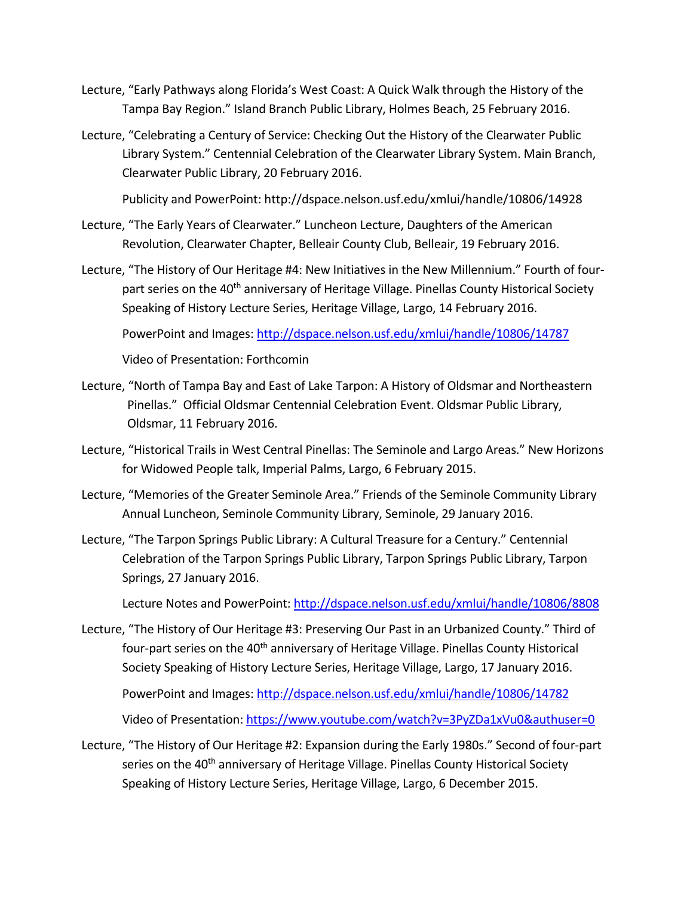- Lecture, "Early Pathways along Florida's West Coast: A Quick Walk through the History of the Tampa Bay Region." Island Branch Public Library, Holmes Beach, 25 February 2016.
- Lecture, "Celebrating a Century of Service: Checking Out the History of the Clearwater Public Library System." Centennial Celebration of the Clearwater Library System. Main Branch, Clearwater Public Library, 20 February 2016.

Publicity and PowerPoint: http://dspace.nelson.usf.edu/xmlui/handle/10806/14928

- Lecture, "The Early Years of Clearwater." Luncheon Lecture, Daughters of the American Revolution, Clearwater Chapter, Belleair County Club, Belleair, 19 February 2016.
- Lecture, "The History of Our Heritage #4: New Initiatives in the New Millennium." Fourth of four‐ part series on the 40<sup>th</sup> anniversary of Heritage Village. Pinellas County Historical Society Speaking of History Lecture Series, Heritage Village, Largo, 14 February 2016.

PowerPoint and Images: http://dspace.nelson.usf.edu/xmlui/handle/10806/14787

Video of Presentation: Forthcomin

- Lecture, "North of Tampa Bay and East of Lake Tarpon: A History of Oldsmar and Northeastern Pinellas." Official Oldsmar Centennial Celebration Event. Oldsmar Public Library, Oldsmar, 11 February 2016.
- Lecture, "Historical Trails in West Central Pinellas: The Seminole and Largo Areas." New Horizons for Widowed People talk, Imperial Palms, Largo, 6 February 2015.
- Lecture, "Memories of the Greater Seminole Area." Friends of the Seminole Community Library Annual Luncheon, Seminole Community Library, Seminole, 29 January 2016.
- Lecture, "The Tarpon Springs Public Library: A Cultural Treasure for a Century." Centennial Celebration of the Tarpon Springs Public Library, Tarpon Springs Public Library, Tarpon Springs, 27 January 2016.

Lecture Notes and PowerPoint: http://dspace.nelson.usf.edu/xmlui/handle/10806/8808

Lecture, "The History of Our Heritage #3: Preserving Our Past in an Urbanized County." Third of four-part series on the 40<sup>th</sup> anniversary of Heritage Village. Pinellas County Historical Society Speaking of History Lecture Series, Heritage Village, Largo, 17 January 2016.

PowerPoint and Images: http://dspace.nelson.usf.edu/xmlui/handle/10806/14782 Video of Presentation: https://www.youtube.com/watch?v=3PyZDa1xVu0&authuser=0

Lecture, "The History of Our Heritage #2: Expansion during the Early 1980s." Second of four‐part series on the 40<sup>th</sup> anniversary of Heritage Village. Pinellas County Historical Society Speaking of History Lecture Series, Heritage Village, Largo, 6 December 2015.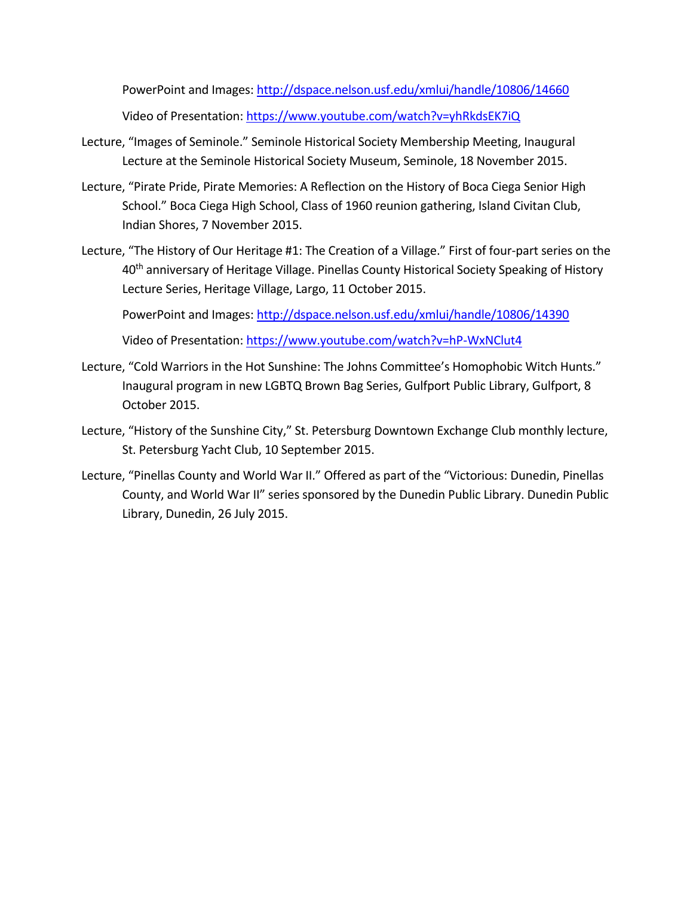PowerPoint and Images: http://dspace.nelson.usf.edu/xmlui/handle/10806/14660 Video of Presentation: https://www.youtube.com/watch?v=yhRkdsEK7iQ

- Lecture, "Images of Seminole." Seminole Historical Society Membership Meeting, Inaugural Lecture at the Seminole Historical Society Museum, Seminole, 18 November 2015.
- Lecture, "Pirate Pride, Pirate Memories: A Reflection on the History of Boca Ciega Senior High School." Boca Ciega High School, Class of 1960 reunion gathering, Island Civitan Club, Indian Shores, 7 November 2015.
- Lecture, "The History of Our Heritage #1: The Creation of a Village." First of four‐part series on the 40<sup>th</sup> anniversary of Heritage Village. Pinellas County Historical Society Speaking of History Lecture Series, Heritage Village, Largo, 11 October 2015.

PowerPoint and Images: http://dspace.nelson.usf.edu/xmlui/handle/10806/14390

Video of Presentation: https://www.youtube.com/watch?v=hP‐WxNClut4

- Lecture, "Cold Warriors in the Hot Sunshine: The Johns Committee's Homophobic Witch Hunts." Inaugural program in new LGBTQ Brown Bag Series, Gulfport Public Library, Gulfport, 8 October 2015.
- Lecture, "History of the Sunshine City," St. Petersburg Downtown Exchange Club monthly lecture, St. Petersburg Yacht Club, 10 September 2015.
- Lecture, "Pinellas County and World War II." Offered as part of the "Victorious: Dunedin, Pinellas County, and World War II" series sponsored by the Dunedin Public Library. Dunedin Public Library, Dunedin, 26 July 2015.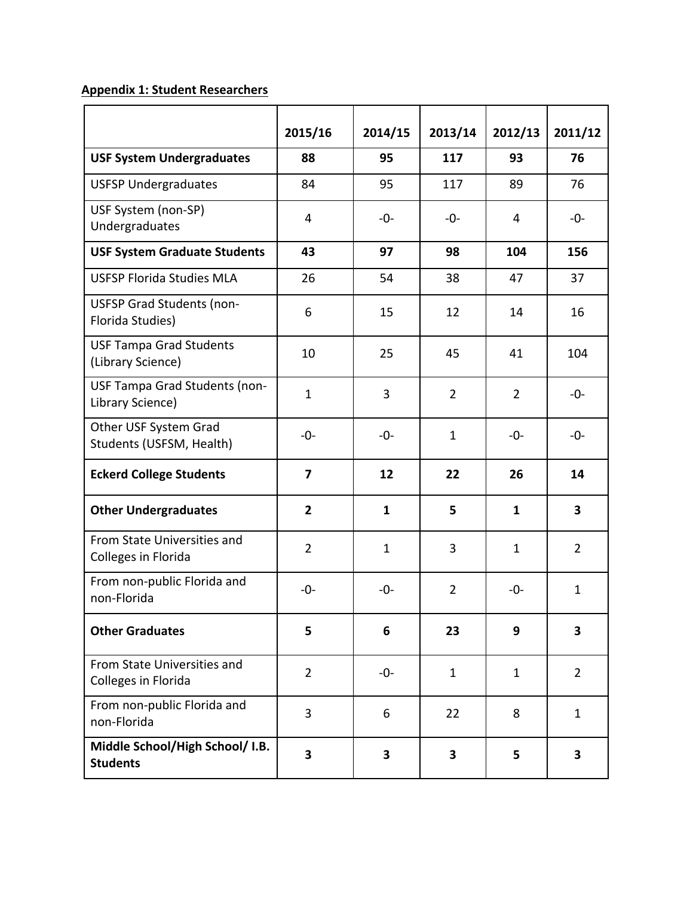## **Appendix 1: Student Researchers**

|                                                      | 2015/16                 | 2014/15                 | 2013/14        | 2012/13        | 2011/12        |
|------------------------------------------------------|-------------------------|-------------------------|----------------|----------------|----------------|
| <b>USF System Undergraduates</b>                     | 88                      | 95                      | 117            | 93             | 76             |
| <b>USFSP Undergraduates</b>                          | 84                      | 95                      | 117            | 89             | 76             |
| USF System (non-SP)<br>Undergraduates                | 4                       | $-0-$                   | -0-            | 4              | $-0-$          |
| <b>USF System Graduate Students</b>                  | 43                      | 97                      | 98             | 104            | 156            |
| <b>USFSP Florida Studies MLA</b>                     | 26                      | 54                      | 38             | 47             | 37             |
| <b>USFSP Grad Students (non-</b><br>Florida Studies) | 6                       | 15                      | 12             | 14             | 16             |
| <b>USF Tampa Grad Students</b><br>(Library Science)  | 10                      | 25                      | 45             | 41             | 104            |
| USF Tampa Grad Students (non-<br>Library Science)    | $\mathbf{1}$            | 3                       | $\overline{2}$ | $\overline{2}$ | $-0-$          |
| Other USF System Grad<br>Students (USFSM, Health)    | $-0-$                   | $-0-$                   | $\mathbf{1}$   | -0-            | $-0-$          |
| <b>Eckerd College Students</b>                       | $\overline{\mathbf{z}}$ | 12                      | 22             | 26             | 14             |
| <b>Other Undergraduates</b>                          | $\overline{2}$          | $\mathbf{1}$            | 5              | $\mathbf{1}$   | 3              |
| From State Universities and<br>Colleges in Florida   | $\overline{2}$          | $\mathbf{1}$            | 3              | $\mathbf{1}$   | $\overline{2}$ |
| From non-public Florida and<br>non-Florida           | $-0-$                   | $-0-$                   | $\overline{2}$ | -0-            | $\mathbf{1}$   |
| <b>Other Graduates</b>                               | 5                       | 6                       | 23             | 9              | 3              |
| From State Universities and<br>Colleges in Florida   | $\overline{2}$          | -0-                     | $\mathbf{1}$   | $\mathbf{1}$   | $\overline{2}$ |
| From non-public Florida and<br>non-Florida           | 3                       | 6                       | 22             | 8              | $\mathbf{1}$   |
| Middle School/High School/ I.B.<br><b>Students</b>   | $\overline{\mathbf{3}}$ | $\overline{\mathbf{3}}$ | 3              | 5              | 3              |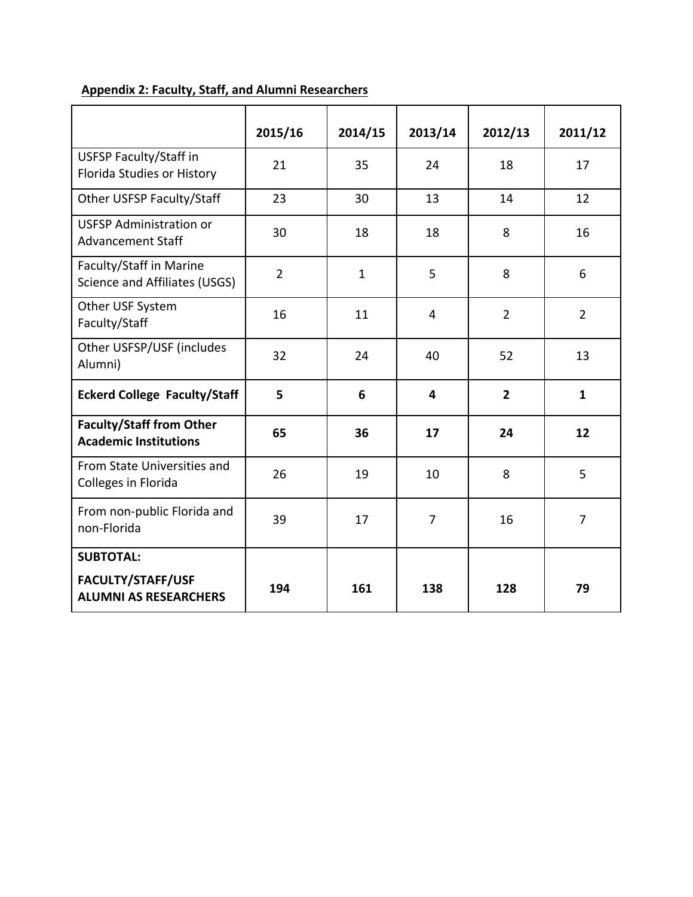|                                                                 | 2015/16        | 2014/15      | 2013/14        | 2012/13        | 2011/12        |
|-----------------------------------------------------------------|----------------|--------------|----------------|----------------|----------------|
| <b>USFSP Faculty/Staff in</b><br>Florida Studies or History     | 21             | 35           | 24             | 18             | 17             |
| Other USFSP Faculty/Staff                                       | 23             | 30           | 13             | 14             | 12             |
| <b>USFSP Administration or</b><br><b>Advancement Staff</b>      | 30             | 18           | 18             | 8              | 16             |
| Faculty/Staff in Marine<br>Science and Affiliates (USGS)        | $\overline{2}$ | $\mathbf{1}$ | 5              | 8              | 6              |
| Other USF System<br>Faculty/Staff                               | 16             | 11           | 4              | $\overline{2}$ | $\overline{2}$ |
| Other USFSP/USF (includes<br>Alumni)                            | 32             | 24           | 40             | 52             | 13             |
| <b>Eckerd College Faculty/Staff</b>                             | 5              | 6            | 4              | $\overline{2}$ | $\mathbf{1}$   |
| <b>Faculty/Staff from Other</b><br><b>Academic Institutions</b> | 65             | 36           | 17             | 24             | 12             |
| From State Universities and<br>Colleges in Florida              | 26             | 19           | 10             | 8              | 5              |
| From non-public Florida and<br>non-Florida                      | 39             | 17           | $\overline{7}$ | 16             | $\overline{7}$ |
| <b>SUBTOTAL:</b>                                                |                |              |                |                |                |
| FACULTY/STAFF/USF<br><b>ALUMNI AS RESEARCHERS</b>               | 194            | 161          | 138            | 128            | 79             |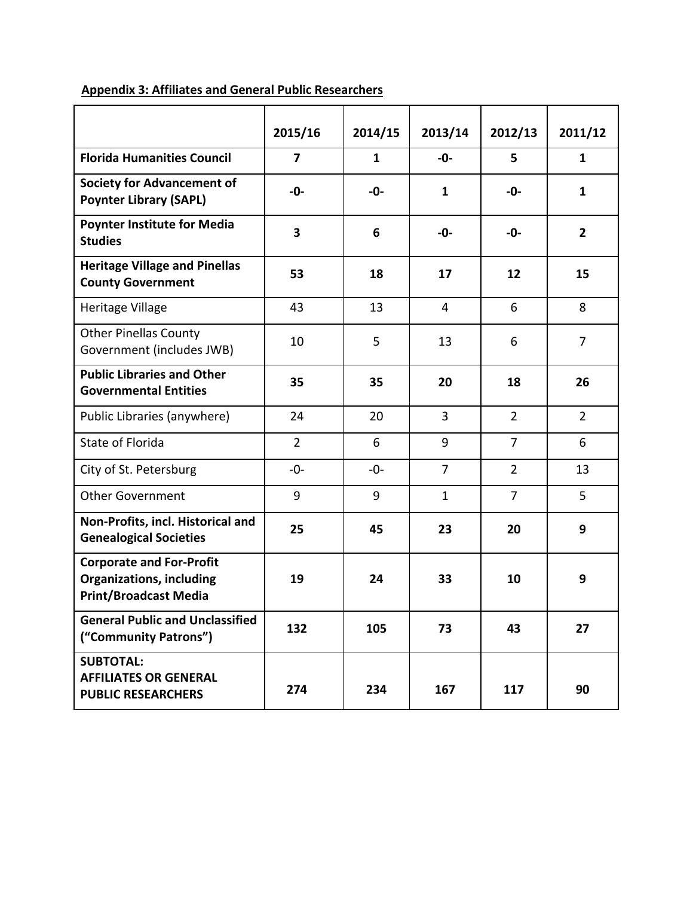|                                                                                                    | 2015/16        | 2014/15      | 2013/14        | 2012/13        | 2011/12        |
|----------------------------------------------------------------------------------------------------|----------------|--------------|----------------|----------------|----------------|
|                                                                                                    |                |              |                |                |                |
| <b>Florida Humanities Council</b>                                                                  | $\overline{ }$ | $\mathbf{1}$ | $-0-$          | 5              | $\mathbf{1}$   |
| <b>Society for Advancement of</b><br><b>Poynter Library (SAPL)</b>                                 | -0-            | -0-          | $\mathbf{1}$   | -0-            | $\mathbf{1}$   |
| <b>Poynter Institute for Media</b><br><b>Studies</b>                                               | 3              | 6            | -0-            | -0-            | $\overline{2}$ |
| <b>Heritage Village and Pinellas</b><br><b>County Government</b>                                   | 53             | 18           | 17             | 12             | 15             |
| Heritage Village                                                                                   | 43             | 13           | 4              | 6              | 8              |
| <b>Other Pinellas County</b><br>Government (includes JWB)                                          | 10             | 5            | 13             | 6              | $\overline{7}$ |
| <b>Public Libraries and Other</b><br><b>Governmental Entities</b>                                  | 35             | 35           | 20             | 18             | 26             |
| Public Libraries (anywhere)                                                                        | 24             | 20           | $\overline{3}$ | $\overline{2}$ | $\overline{2}$ |
| State of Florida                                                                                   | $\overline{2}$ | 6            | 9              | $\overline{7}$ | 6              |
| City of St. Petersburg                                                                             | $-0-$          | $-0-$        | $\overline{7}$ | $\overline{2}$ | 13             |
| <b>Other Government</b>                                                                            | 9              | 9            | $\mathbf{1}$   | $\overline{7}$ | 5              |
| Non-Profits, incl. Historical and<br><b>Genealogical Societies</b>                                 | 25             | 45           | 23             | 20             | 9              |
| <b>Corporate and For-Profit</b><br><b>Organizations, including</b><br><b>Print/Broadcast Media</b> | 19             | 24           | 33             | 10             | 9              |
| <b>General Public and Unclassified</b><br>("Community Patrons")                                    | 132            | 105          | 73             | 43             | 27             |
| <b>SUBTOTAL:</b><br><b>AFFILIATES OR GENERAL</b><br><b>PUBLIC RESEARCHERS</b>                      | 274            | 234          | 167            | 117            | 90             |

# **Appendix 3: Affiliates and General Public Researchers**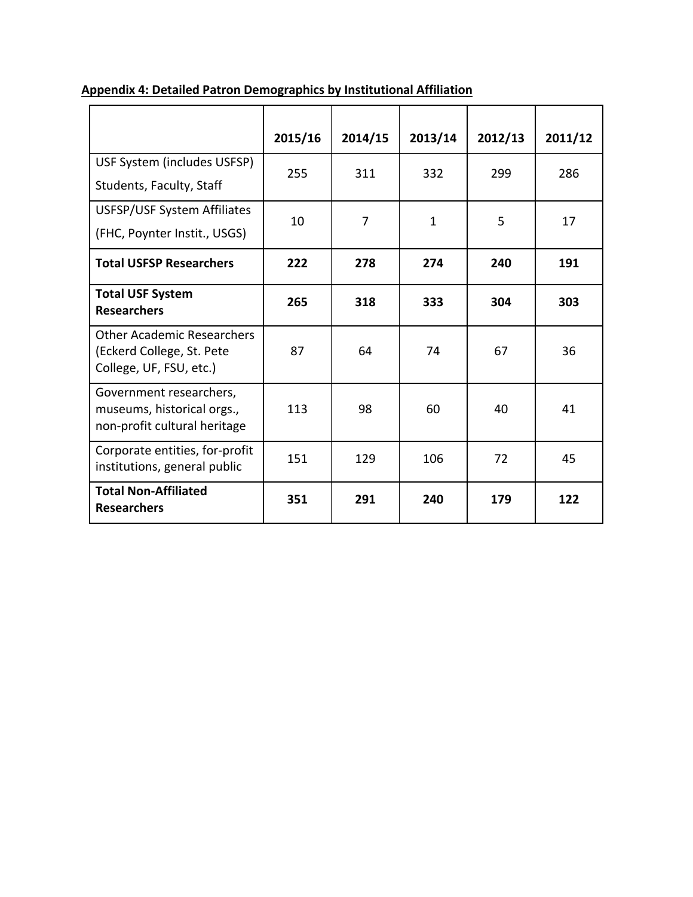|                                                                                           | 2015/16 | 2014/15        | 2013/14      | 2012/13 | 2011/12 |
|-------------------------------------------------------------------------------------------|---------|----------------|--------------|---------|---------|
| USF System (includes USFSP)<br>Students, Faculty, Staff                                   | 255     | 311            | 332          | 299     | 286     |
| USFSP/USF System Affiliates<br>(FHC, Poynter Instit., USGS)                               | 10      | $\overline{7}$ | $\mathbf{1}$ | 5       | 17      |
| <b>Total USFSP Researchers</b>                                                            | 222     | 278            | 274          | 240     | 191     |
| <b>Total USF System</b><br><b>Researchers</b>                                             | 265     | 318            | 333          | 304     | 303     |
| <b>Other Academic Researchers</b><br>(Eckerd College, St. Pete<br>College, UF, FSU, etc.) | 87      | 64             | 74           | 67      | 36      |
| Government researchers,<br>museums, historical orgs.,<br>non-profit cultural heritage     | 113     | 98             | 60           | 40      | 41      |
| Corporate entities, for-profit<br>institutions, general public                            | 151     | 129            | 106          | 72      | 45      |
| <b>Total Non-Affiliated</b><br><b>Researchers</b>                                         | 351     | 291            | 240          | 179     | 122     |

# **Appendix 4: Detailed Patron Demographics by Institutional Affiliation**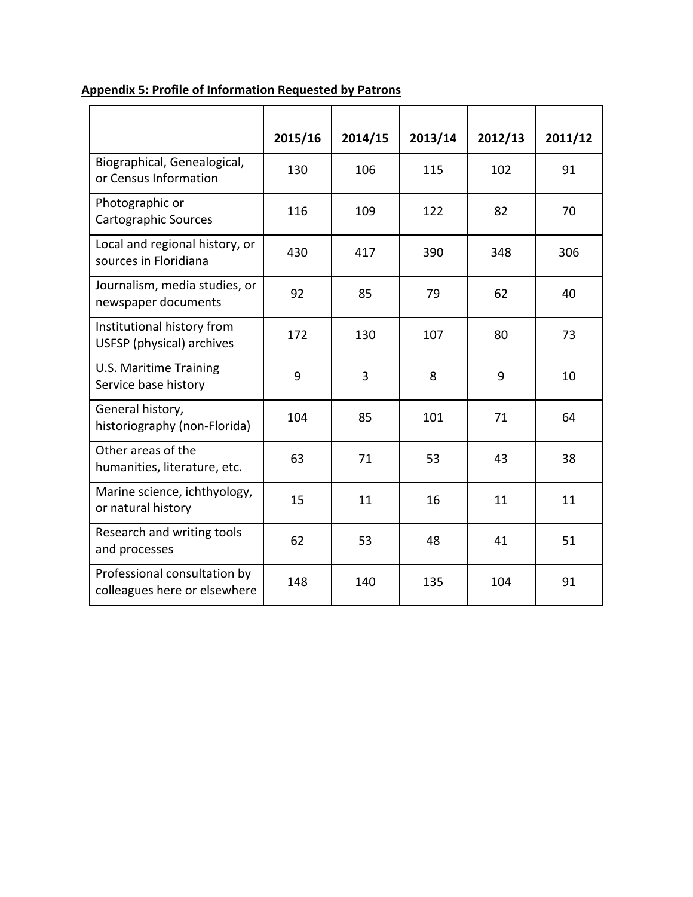|                                                              | 2015/16 | 2014/15 | 2013/14 | 2012/13 | 2011/12 |
|--------------------------------------------------------------|---------|---------|---------|---------|---------|
| Biographical, Genealogical,<br>or Census Information         | 130     | 106     | 115     | 102     | 91      |
| Photographic or<br>Cartographic Sources                      | 116     | 109     | 122     | 82      | 70      |
| Local and regional history, or<br>sources in Floridiana      | 430     | 417     | 390     | 348     | 306     |
| Journalism, media studies, or<br>newspaper documents         | 92      | 85      | 79      | 62      | 40      |
| Institutional history from<br>USFSP (physical) archives      | 172     | 130     | 107     | 80      | 73      |
| <b>U.S. Maritime Training</b><br>Service base history        | 9       | 3       | 8       | 9       | 10      |
| General history,<br>historiography (non-Florida)             | 104     | 85      | 101     | 71      | 64      |
| Other areas of the<br>humanities, literature, etc.           | 63      | 71      | 53      | 43      | 38      |
| Marine science, ichthyology,<br>or natural history           | 15      | 11      | 16      | 11      | 11      |
| Research and writing tools<br>and processes                  | 62      | 53      | 48      | 41      | 51      |
| Professional consultation by<br>colleagues here or elsewhere | 148     | 140     | 135     | 104     | 91      |

## **Appendix 5: Profile of Information Requested by Patrons**